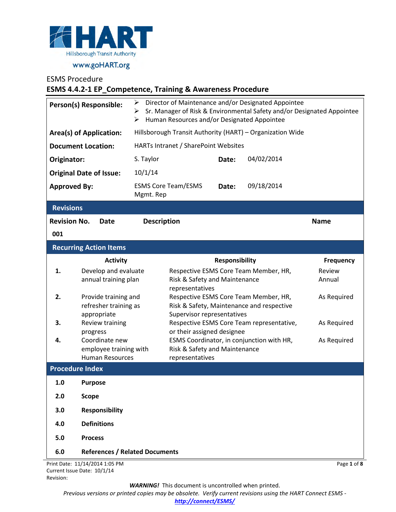

# ESMS Procedure

| ESMS 4.4.2-1 EP_Competence, Training & Awareness Procedure |                                                                    |                                                                |                                                                                                                  |                       |                                                                                                                               |                  |  |
|------------------------------------------------------------|--------------------------------------------------------------------|----------------------------------------------------------------|------------------------------------------------------------------------------------------------------------------|-----------------------|-------------------------------------------------------------------------------------------------------------------------------|------------------|--|
|                                                            | Person(s) Responsible:                                             | ➤<br>➤<br>➤                                                    | Human Resources and/or Designated Appointee                                                                      |                       | Director of Maintenance and/or Designated Appointee<br>Sr. Manager of Risk & Environmental Safety and/or Designated Appointee |                  |  |
|                                                            | <b>Area(s) of Application:</b>                                     |                                                                |                                                                                                                  |                       | Hillsborough Transit Authority (HART) - Organization Wide                                                                     |                  |  |
|                                                            | <b>Document Location:</b>                                          |                                                                | HARTs Intranet / SharePoint Websites                                                                             |                       |                                                                                                                               |                  |  |
| Originator:                                                |                                                                    | S. Taylor                                                      |                                                                                                                  | Date:                 | 04/02/2014                                                                                                                    |                  |  |
| <b>Original Date of Issue:</b>                             |                                                                    | 10/1/14                                                        |                                                                                                                  |                       |                                                                                                                               |                  |  |
| <b>Approved By:</b>                                        |                                                                    | <b>ESMS Core Team/ESMS</b><br>09/18/2014<br>Date:<br>Mgmt. Rep |                                                                                                                  |                       |                                                                                                                               |                  |  |
| <b>Revisions</b>                                           |                                                                    |                                                                |                                                                                                                  |                       |                                                                                                                               |                  |  |
| <b>Revision No.</b><br>Date                                |                                                                    | <b>Description</b>                                             |                                                                                                                  |                       |                                                                                                                               | <b>Name</b>      |  |
| 001                                                        |                                                                    |                                                                |                                                                                                                  |                       |                                                                                                                               |                  |  |
|                                                            | <b>Recurring Action Items</b>                                      |                                                                |                                                                                                                  |                       |                                                                                                                               |                  |  |
|                                                            | <b>Activity</b>                                                    |                                                                |                                                                                                                  | <b>Responsibility</b> |                                                                                                                               | <b>Frequency</b> |  |
| 1.                                                         | Develop and evaluate<br>annual training plan                       |                                                                | Respective ESMS Core Team Member, HR,<br>Risk & Safety and Maintenance<br>representatives                        |                       | Review<br>Annual                                                                                                              |                  |  |
| 2.                                                         | Provide training and<br>refresher training as<br>appropriate       |                                                                | Respective ESMS Core Team Member, HR,<br>Risk & Safety, Maintenance and respective<br>Supervisor representatives |                       | As Required                                                                                                                   |                  |  |
| 3.                                                         | Review training<br>progress                                        |                                                                | Respective ESMS Core Team representative,<br>or their assigned designee                                          |                       |                                                                                                                               | As Required      |  |
| 4.                                                         | Coordinate new<br>employee training with<br><b>Human Resources</b> |                                                                | ESMS Coordinator, in conjunction with HR,<br>Risk & Safety and Maintenance<br>representatives                    |                       | As Required                                                                                                                   |                  |  |
|                                                            | <b>Procedure Index</b>                                             |                                                                |                                                                                                                  |                       |                                                                                                                               |                  |  |
| 1.0                                                        | <b>Purpose</b>                                                     |                                                                |                                                                                                                  |                       |                                                                                                                               |                  |  |
| 2.0                                                        | <b>Scope</b>                                                       |                                                                |                                                                                                                  |                       |                                                                                                                               |                  |  |
| 3.0                                                        | <b>Responsibility</b>                                              |                                                                |                                                                                                                  |                       |                                                                                                                               |                  |  |
| 4.0                                                        | <b>Definitions</b>                                                 |                                                                |                                                                                                                  |                       |                                                                                                                               |                  |  |
| 5.0                                                        | <b>Process</b>                                                     |                                                                |                                                                                                                  |                       |                                                                                                                               |                  |  |
| 6.0                                                        | <b>References / Related Documents</b>                              |                                                                |                                                                                                                  |                       |                                                                                                                               |                  |  |
| Print Date: 11/14/2014 1:05 PM<br>Page 1 of 8              |                                                                    |                                                                |                                                                                                                  |                       |                                                                                                                               |                  |  |

Print Date: 11/14/2014 1:05 PM Current Issue Date: 10/1/14 Revision:

*WARNING!*This document is uncontrolled when printed.

*Previous versions or printed copies may be obsolete. Verify current revisions using the HART Connect ESMS -* 

#### *[http://connect/ESMS/](http://connect/ESMS/default.aspx)*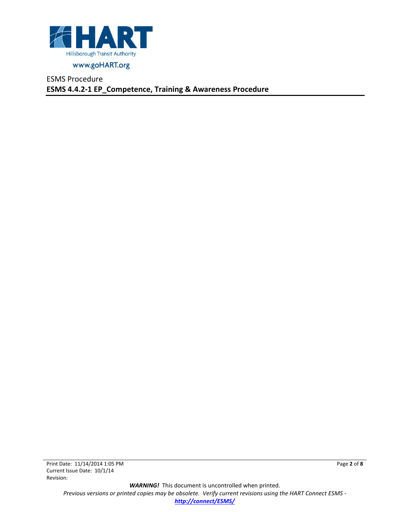

ESMS Procedure **ESMS 4.4.2-1 EP\_Competence, Training & Awareness Procedure**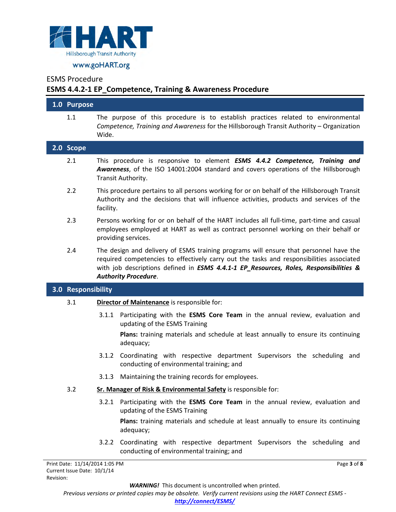

# ESMS Procedure

# **ESMS 4.4.2-1 EP\_Competence, Training & Awareness Procedure**

| 1.0 Purpose                                                           |                                                                                                                                                                                                                                                                                                           |                                                                                                                                                                                                               |  |  |  |  |
|-----------------------------------------------------------------------|-----------------------------------------------------------------------------------------------------------------------------------------------------------------------------------------------------------------------------------------------------------------------------------------------------------|---------------------------------------------------------------------------------------------------------------------------------------------------------------------------------------------------------------|--|--|--|--|
| 1.1                                                                   | Wide.                                                                                                                                                                                                                                                                                                     | The purpose of this procedure is to establish practices related to environmental<br>Competence, Training and Awareness for the Hillsborough Transit Authority - Organization                                  |  |  |  |  |
| 2.0 Scope                                                             |                                                                                                                                                                                                                                                                                                           |                                                                                                                                                                                                               |  |  |  |  |
| 2.1                                                                   |                                                                                                                                                                                                                                                                                                           | This procedure is responsive to element <b>ESMS 4.4.2 Competence, Training and</b><br>Awareness, of the ISO 14001:2004 standard and covers operations of the Hillsborough<br>Transit Authority.               |  |  |  |  |
| 2.2                                                                   | facility.                                                                                                                                                                                                                                                                                                 | This procedure pertains to all persons working for or on behalf of the Hillsborough Transit<br>Authority and the decisions that will influence activities, products and services of the                       |  |  |  |  |
| 2.3                                                                   | Persons working for or on behalf of the HART includes all full-time, part-time and casual<br>employees employed at HART as well as contract personnel working on their behalf or<br>providing services.                                                                                                   |                                                                                                                                                                                                               |  |  |  |  |
| 2.4                                                                   | The design and delivery of ESMS training programs will ensure that personnel have the<br>required competencies to effectively carry out the tasks and responsibilities associated<br>with job descriptions defined in ESMS 4.4.1-1 EP_Resources, Roles, Responsibilities &<br><b>Authority Procedure.</b> |                                                                                                                                                                                                               |  |  |  |  |
| 3.0 Responsibility                                                    |                                                                                                                                                                                                                                                                                                           |                                                                                                                                                                                                               |  |  |  |  |
| 3.1                                                                   | <b>Director of Maintenance</b> is responsible for:                                                                                                                                                                                                                                                        |                                                                                                                                                                                                               |  |  |  |  |
|                                                                       | 3.1.1                                                                                                                                                                                                                                                                                                     | Participating with the ESMS Core Team in the annual review, evaluation and<br>updating of the ESMS Training<br>Plans: training materials and schedule at least annually to ensure its continuing<br>adequacy; |  |  |  |  |
|                                                                       | 3.1.2                                                                                                                                                                                                                                                                                                     | Coordinating with respective department Supervisors the scheduling and<br>conducting of environmental training; and                                                                                           |  |  |  |  |
|                                                                       | 3.1.3                                                                                                                                                                                                                                                                                                     | Maintaining the training records for employees.                                                                                                                                                               |  |  |  |  |
| Sr. Manager of Risk & Environmental Safety is responsible for:<br>3.2 |                                                                                                                                                                                                                                                                                                           |                                                                                                                                                                                                               |  |  |  |  |
|                                                                       | 3.2.1                                                                                                                                                                                                                                                                                                     | Participating with the ESMS Core Team in the annual review, evaluation and<br>updating of the ESMS Training<br>Plans: training materials and schedule at least annually to ensure its continuing<br>adequacy; |  |  |  |  |
|                                                                       | 3.2.2                                                                                                                                                                                                                                                                                                     | Coordinating with respective department Supervisors the scheduling and<br>conducting of environmental training; and                                                                                           |  |  |  |  |

Page **3** of **8**

*WARNING!*This document is uncontrolled when printed.

*Previous versions or printed copies may be obsolete. Verify current revisions using the HART Connect ESMS -* 

*[http://connect/ESMS/](http://connect/ESMS/default.aspx)*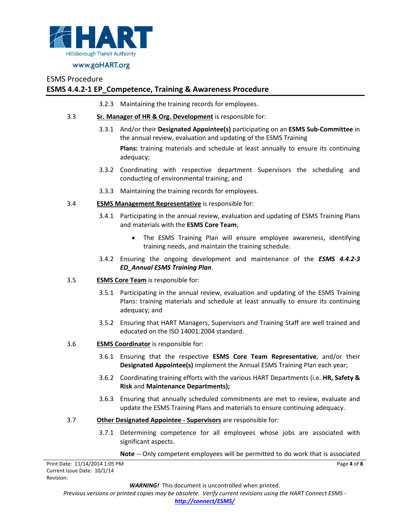

## ESMS Procedure

# **ESMS 4.4.2-1 EP\_Competence, Training & Awareness Procedure**

- 3.2.3 Maintaining the training records for employees.
- 3.3 **Sr. Manager of HR & Org. Development** is responsible for:
	- 3.3.1 And/or their **Designated Appointee(s)** participating on an **ESMS Sub-Committee** in the annual review, evaluation and updating of the ESMS Training

**Plans:** training materials and schedule at least annually to ensure its continuing adequacy;

- 3.3.2 Coordinating with respective department Supervisors the scheduling and conducting of environmental training; and
- 3.3.3 Maintaining the training records for employees.
- 3.4 **ESMS Management Representative** is responsible for:
	- 3.4.1 Participating in the annual review, evaluation and updating of ESMS Training Plans and materials with the **ESMS Core Team**;
		- The ESMS Training Plan will ensure employee awareness, identifying training needs, and maintain the training schedule.
	- 3.4.2 Ensuring the ongoing development and maintenance of the *ESMS 4.4.2-3 ED\_Annual ESMS Training Plan*.
- 3.5 **ESMS Core Team** is responsible for:
	- 3.5.1 Participating in the annual review, evaluation and updating of the ESMS Training Plans: training materials and schedule at least annually to ensure its continuing adequacy; and
	- 3.5.2 Ensuring that HART Managers, Supervisors and Training Staff are well trained and educated on the ISO 14001:2004 standard.
- 3.6 **ESMS Coordinator** is responsible for:
	- 3.6.1 Ensuring that the respective **ESMS Core Team Representative**, and/or their **Designated Appointee(s)** implement the Annual ESMS Training Plan each year;
	- 3.6.2 Coordinating training efforts with the various HART Departments (i.e. **HR, Safety & Risk** and **Maintenance Departments);**
	- 3.6.3 Ensuring that annually scheduled commitments are met to review, evaluate and update the ESMS Training Plans and materials to ensure continuing adequacy.
- 3.7 **Other Designated Appointee Supervisors** are responsible for:
	- 3.7.1 Determining competence for all employees whose jobs are associated with significant aspects.

**Note** -- Only competent employees will be permitted to do work that is associated

Page **4** of **8**

*Previous versions or printed copies may be obsolete. Verify current revisions using the HART Connect ESMS -*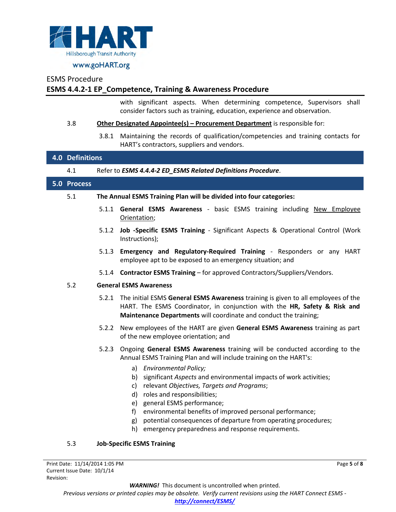

## ESMS Procedure

## **ESMS 4.4.2-1 EP\_Competence, Training & Awareness Procedure**

with significant aspects. When determining competence, Supervisors shall consider factors such as training, education, experience and observation.

#### 3.8 **Other Designated Appointee(s) – Procurement Department** is responsible for:

3.8.1 Maintaining the records of qualification/competencies and training contacts for HART's contractors, suppliers and vendors.

# **4.0 Definitions** 4.1 Refer to *ESMS 4.4.4-2 ED\_ESMS Related Definitions Procedure*. **5.0 Process**

#### 5.1 **The Annual ESMS Training Plan will be divided into four categories:**

- 5.1.1 **General ESMS Awareness** basic ESMS training including New Employee Orientation;
- 5.1.2 **Job -Specific ESMS Training** Significant Aspects & Operational Control (Work Instructions);
- 5.1.3 **Emergency and Regulatory-Required Training** Responders or any HART employee apt to be exposed to an emergency situation; and
- 5.1.4 **Contractor ESMS Training**  for approved Contractors/Suppliers/Vendors.

#### 5.2 **General ESMS Awareness**

- 5.2.1 The initial ESMS **General ESMS Awareness** training is given to all employees of the HART. The ESMS Coordinator, in conjunction with the **HR, Safety & Risk and Maintenance Departments** will coordinate and conduct the training;
- 5.2.2 New employees of the HART are given **General ESMS Awareness** training as part of the new employee orientation; and
- 5.2.3 Ongoing **General ESMS Awareness** training will be conducted according to the Annual ESMS Training Plan and will include training on the HART's:
	- a) *Environmental Policy;*
	- b) significant *Aspects* and environmental impacts of work activities;
	- c) relevant *Objectives, Targets and Programs*;
	- d) roles and responsibilities;
	- e) general ESMS performance;
	- f) environmental benefits of improved personal performance;
	- g) potential consequences of departure from operating procedures;
	- h) emergency preparedness and response requirements.

#### 5.3 **Job-Specific ESMS Training**

*WARNING!*This document is uncontrolled when printed.

*Previous versions or printed copies may be obsolete. Verify current revisions using the HART Connect ESMS -*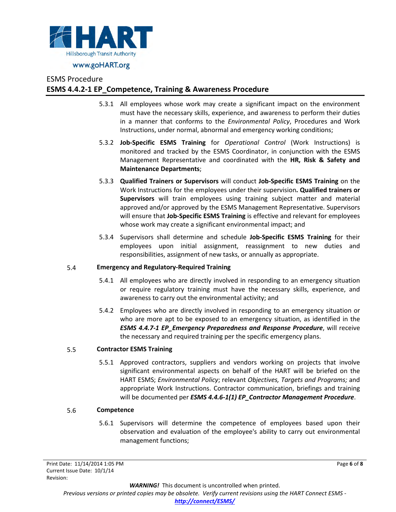

# ESMS Procedure

# **ESMS 4.4.2-1 EP\_Competence, Training & Awareness Procedure**

- 5.3.1 All employees whose work may create a significant impact on the environment must have the necessary skills, experience, and awareness to perform their duties in a manner that conforms to the *Environmental Policy*, Procedures and Work Instructions, under normal, abnormal and emergency working conditions;
- 5.3.2 **Job-Specific ESMS Training** for *Operational Control* (Work Instructions) is monitored and tracked by the ESMS Coordinator, in conjunction with the ESMS Management Representative and coordinated with the **HR, Risk & Safety and Maintenance Departments**;
- 5.3.3 **Qualified Trainers or Supervisors** will conduct **Job-Specific ESMS Training** on the Work Instructions for the employees under their supervision**. Qualified trainers or Supervisors** will train employees using training subject matter and material approved and/or approved by the ESMS Management Representative. Supervisors will ensure that **Job-Specific ESMS Training** is effective and relevant for employees whose work may create a significant environmental impact; and
- 5.3.4 Supervisors shall determine and schedule **Job-Specific ESMS Training** for their employees upon initial assignment, reassignment to new duties and responsibilities, assignment of new tasks, or annually as appropriate.

#### 5.4 **Emergency and Regulatory-Required Training**

- 5.4.1 All employees who are directly involved in responding to an emergency situation or require regulatory training must have the necessary skills, experience, and awareness to carry out the environmental activity; and
- 5.4.2 Employees who are directly involved in responding to an emergency situation or who are more apt to be exposed to an emergency situation, as identified in the *ESMS 4.4.7-1 EP\_Emergency Preparedness and Response Procedure*, will receive the necessary and required training per the specific emergency plans.

#### 5.5 **Contractor ESMS Training**

5.5.1 Approved contractors, suppliers and vendors working on projects that involve significant environmental aspects on behalf of the HART will be briefed on the HART ESMS; *Environmental Policy*; relevant *Objectives, Targets and Programs;* and appropriate Work Instructions. Contractor communication, briefings and training will be documented per *ESMS 4.4.6-1(1) EP\_Contractor Management Procedure*.

#### 5.6 **Competence**

5.6.1 Supervisors will determine the competence of employees based upon their observation and evaluation of the employee's ability to carry out environmental management functions;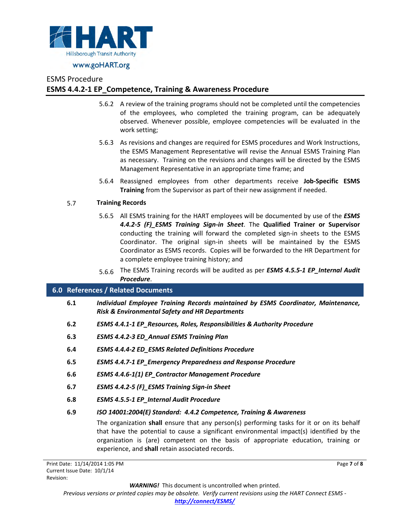

# ESMS Procedure

# **ESMS 4.4.2-1 EP\_Competence, Training & Awareness Procedure**

- 5.6.2 A review of the training programs should not be completed until the competencies of the employees, who completed the training program, can be adequately observed. Whenever possible, employee competencies will be evaluated in the work setting;
- 5.6.3 As revisions and changes are required for ESMS procedures and Work Instructions, the ESMS Management Representative will revise the Annual ESMS Training Plan as necessary. Training on the revisions and changes will be directed by the ESMS Management Representative in an appropriate time frame; and
- 5.6.4 Reassigned employees from other departments receive **Job-Specific ESMS Training** from the Supervisor as part of their new assignment if needed.

## 5.7 **Training Records**

- 5.6.5 All ESMS training for the HART employees will be documented by use of the *ESMS 4.4.2-5 (F)\_ESMS Training Sign-in Sheet*. The **Qualified Trainer or Supervisor** conducting the training will forward the completed sign-in sheets to the ESMS Coordinator. The original sign-in sheets will be maintained by the ESMS Coordinator as ESMS records. Copies will be forwarded to the HR Department for a complete employee training history; and
- 5.6.6 The ESMS Training records will be audited as per *ESMS 4.5.5-1 EP\_Internal Audit Procedure*.

# **6.0 References / Related Documents**

- **6.1** *Individual Employee Training Records maintained by ESMS Coordinator, Maintenance, Risk & Environmental Safety and HR Departments*
- **6.2** *ESMS 4.4.1-1 EP\_Resources, Roles, Responsibilities & Authority Procedure*
- **6.3** *ESMS 4.4.2-3 ED\_Annual ESMS Training Plan*
- **6.4** *ESMS 4.4.4-2 ED\_ESMS Related Definitions Procedure*
- **6.5** *ESMS 4.4.7-1 EP\_Emergency Preparedness and Response Procedure*
- **6.6** *ESMS 4.4.6-1(1) EP\_Contractor Management Procedure*
- **6.7** *ESMS 4.4.2-5 (F)\_ESMS Training Sign-in Sheet*
- **6.8** *ESMS 4.5.5-1 EP\_Internal Audit Procedure*

#### **6.9** *ISO 14001:2004(E) Standard: 4.4.2 Competence, Training & Awareness*

The organization **shall** ensure that any person(s) performing tasks for it or on its behalf that have the potential to cause a significant environmental impact(s) identified by the organization is (are) competent on the basis of appropriate education, training or experience, and **shall** retain associated records.

*WARNING!*This document is uncontrolled when printed.

*Previous versions or printed copies may be obsolete. Verify current revisions using the HART Connect ESMS -*